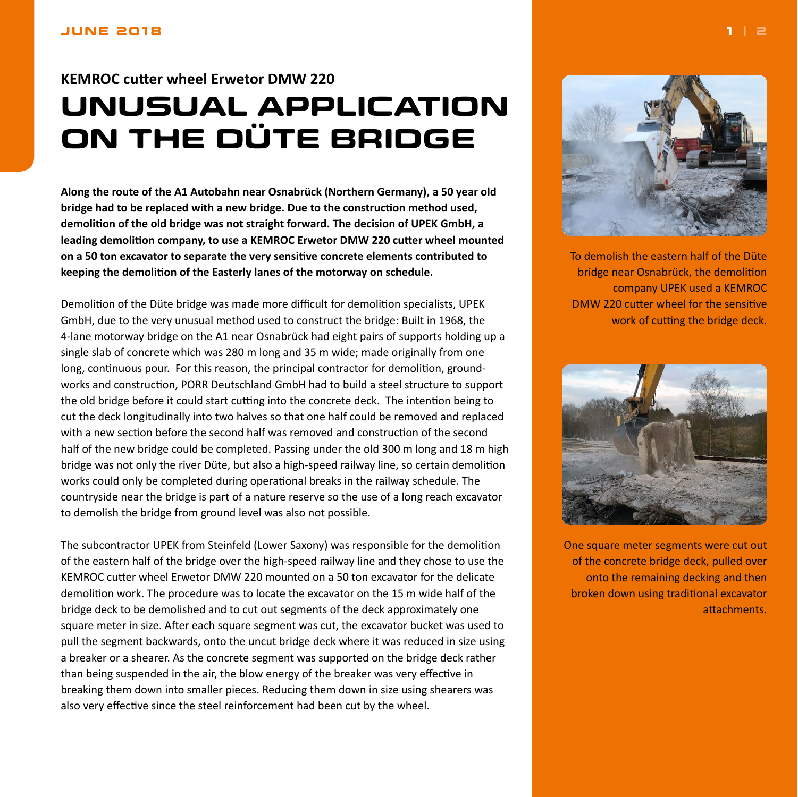## <span id="page-0-0"></span>**KEMROC cutter wheel Erwetor DMW 220 UNUSUAL APPLICATION ON THE DÜTE BRIDGE**

**Along the route of the A1 Autobahn near Osnabrück (Northern Germany), a 50 year old bridge had to be replaced with a new bridge. Due to the construction method used, demolition of the old bridge was not straight forward. The decision of UPEK GmbH, a leading demolition company, to use a KEMROC Erwetor DMW 220 cutter wheel mounted on a 50 ton excavator to separate the very sensitive concrete elements contributed to keeping the demolition of the Easterly lanes of the motorway on schedule.**

Demolition of the Düte bridge was made more difficult for demolition specialists, UPEK GmbH, due to the very unusual method used to construct the bridge: Built in 1968, the 4-lane motorway bridge on the A1 near Osnabrück had eight pairs of supports holding up a single slab of concrete which was 280 m long and 35 m wide; made originally from one long, continuous pour. For this reason, the principal contractor for demolition, groundworks and construction, PORR Deutschland GmbH had to build a steel structure to support the old bridge before it could start cutting into the concrete deck. The intention being to cut the deck longitudinally into two halves so that one half could be removed and replaced with a new section before the second half was removed and construction of the second half of the new bridge could be completed. Passing under the old 300 m long and 18 m high bridge was not only the river Düte, but also a high-speed railway line, so certain demolition works could only be completed during operational breaks in the railway schedule. The countryside near the bridge is part of a nature reserve so the use of a long reach excavator to demolish the bridge from ground level was also not possible.

The subcontractor UPEK from Steinfeld (Lower Saxony) was responsible for the demolition of the eastern half of the bridge over the high-speed railway line and they chose to use the KEMROC cutter wheel Erwetor DMW 220 mounted on a 50 ton excavator for the delicate demolition work. The procedure was to locate the excavator on the 15 m wide half of the bridge deck to be demolished and to cut out segments of the deck approximately one square meter in size. After each square segment was cut, the excavator bucket was used to pull the segment backwards, onto the uncut bridge deck where it was reduced in size using a breaker or a shearer. As the concrete segment was supported on the bridge deck rather than being suspended in the air, the blow energy of the breaker was very effective in breaking them down into smaller pieces. Reducing them down in size using shearers was also very effective since the steel reinforcement had been cut by the wheel.



To demolish the eastern half of the Düte bridge near Osnabrück, the demolition company UPEK used a KEMROC DMW 220 cutter wheel for the sensitive work of cutting the bridge deck.



One square meter segments were cut out of the concrete bridge deck, pulled over onto the remaining decking and then broken down using traditional excavator attachments.